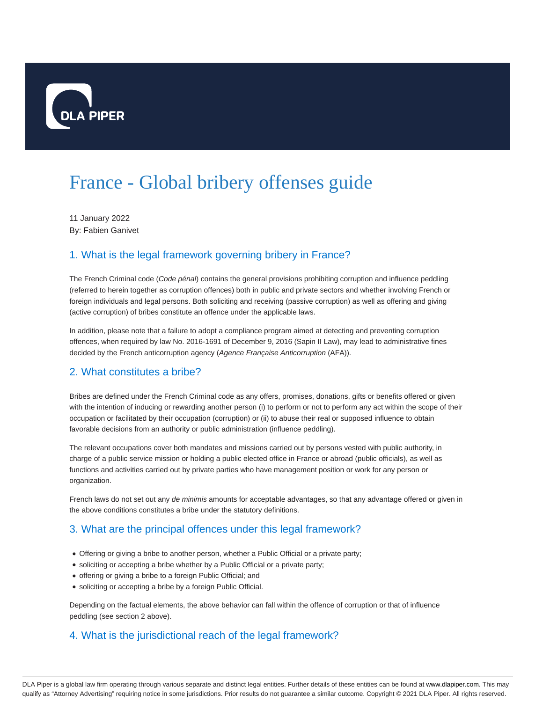

# France - Global bribery offenses guide

11 January 2022 By: Fabien Ganivet

## 1. What is the legal framework governing bribery in France?

The French Criminal code (Code pénal) contains the general provisions prohibiting corruption and influence peddling (referred to herein together as corruption offences) both in public and private sectors and whether involving French or foreign individuals and legal persons. Both soliciting and receiving (passive corruption) as well as offering and giving (active corruption) of bribes constitute an offence under the applicable laws.

In addition, please note that a failure to adopt a compliance program aimed at detecting and preventing corruption offences, when required by law No. 2016-1691 of December 9, 2016 (Sapin II Law), may lead to administrative fines decided by the French anticorruption agency (Agence Française Anticorruption (AFA)).

#### 2. What constitutes a bribe?

Bribes are defined under the French Criminal code as any offers, promises, donations, gifts or benefits offered or given with the intention of inducing or rewarding another person (i) to perform or not to perform any act within the scope of their occupation or facilitated by their occupation (corruption) or (ii) to abuse their real or supposed influence to obtain favorable decisions from an authority or public administration (influence peddling).

The relevant occupations cover both mandates and missions carried out by persons vested with public authority, in charge of a public service mission or holding a public elected office in France or abroad (public officials), as well as functions and activities carried out by private parties who have management position or work for any person or organization.

French laws do not set out any de minimis amounts for acceptable advantages, so that any advantage offered or given in the above conditions constitutes a bribe under the statutory definitions.

## 3. What are the principal offences under this legal framework?

- Offering or giving a bribe to another person, whether a Public Official or a private party;
- soliciting or accepting a bribe whether by a Public Official or a private party;
- offering or giving a bribe to a foreign Public Official; and
- soliciting or accepting a bribe by a foreign Public Official.

Depending on the factual elements, the above behavior can fall within the offence of corruption or that of influence peddling (see section 2 above).

## 4. What is the jurisdictional reach of the legal framework?

DLA Piper is a global law firm operating through various separate and distinct legal entities. Further details of these entities can be found at www.dlapiper.com. This may qualify as "Attorney Advertising" requiring notice in some jurisdictions. Prior results do not guarantee a similar outcome. Copyright © 2021 DLA Piper. All rights reserved.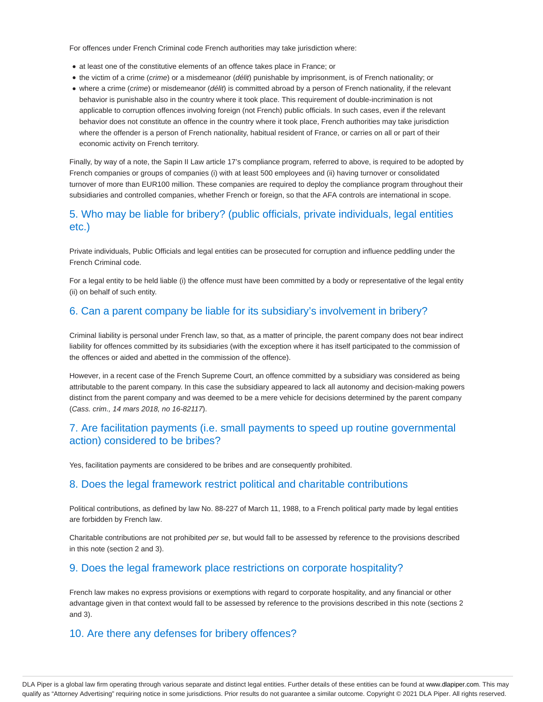For offences under French Criminal code French authorities may take jurisdiction where:

- at least one of the constitutive elements of an offence takes place in France; or
- the victim of a crime (crime) or a misdemeanor (délit) punishable by imprisonment, is of French nationality; or
- where a crime (crime) or misdemeanor (délit) is committed abroad by a person of French nationality, if the relevant behavior is punishable also in the country where it took place. This requirement of double-incrimination is not applicable to corruption offences involving foreign (not French) public officials. In such cases, even if the relevant behavior does not constitute an offence in the country where it took place, French authorities may take jurisdiction where the offender is a person of French nationality, habitual resident of France, or carries on all or part of their economic activity on French territory.

Finally, by way of a note, the Sapin II Law article 17's compliance program, referred to above, is required to be adopted by French companies or groups of companies (i) with at least 500 employees and (ii) having turnover or consolidated turnover of more than EUR100 million. These companies are required to deploy the compliance program throughout their subsidiaries and controlled companies, whether French or foreign, so that the AFA controls are international in scope.

#### 5. Who may be liable for bribery? (public officials, private individuals, legal entities etc.)

Private individuals, Public Officials and legal entities can be prosecuted for corruption and influence peddling under the French Criminal code.

For a legal entity to be held liable (i) the offence must have been committed by a body or representative of the legal entity (ii) on behalf of such entity.

#### 6. Can a parent company be liable for its subsidiary's involvement in bribery?

Criminal liability is personal under French law, so that, as a matter of principle, the parent company does not bear indirect liability for offences committed by its subsidiaries (with the exception where it has itself participated to the commission of the offences or aided and abetted in the commission of the offence).

However, in a recent case of the French Supreme Court, an offence committed by a subsidiary was considered as being attributable to the parent company. In this case the subsidiary appeared to lack all autonomy and decision-making powers distinct from the parent company and was deemed to be a mere vehicle for decisions determined by the parent company (Cass. crim., 14 mars 2018, no 16-82117).

#### 7. Are facilitation payments (i.e. small payments to speed up routine governmental action) considered to be bribes?

Yes, facilitation payments are considered to be bribes and are consequently prohibited.

#### 8. Does the legal framework restrict political and charitable contributions

Political contributions, as defined by law No. 88-227 of March 11, 1988, to a French political party made by legal entities are forbidden by French law.

Charitable contributions are not prohibited per se, but would fall to be assessed by reference to the provisions described in this note (section 2 and 3).

#### 9. Does the legal framework place restrictions on corporate hospitality?

French law makes no express provisions or exemptions with regard to corporate hospitality, and any financial or other advantage given in that context would fall to be assessed by reference to the provisions described in this note (sections 2 and 3).

#### 10. Are there any defenses for bribery offences?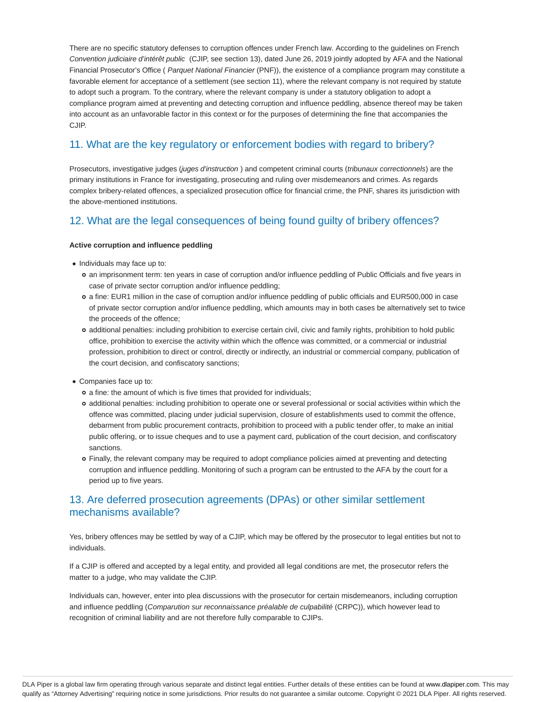There are no specific statutory defenses to corruption offences under French law. According to the guidelines on French Convention judiciaire d'intérêt public (CJIP, see section 13), dated June 26, 2019 jointly adopted by AFA and the National Financial Prosecutor's Office (*Parquet National Financier* (PNF)), the existence of a compliance program may constitute a favorable element for acceptance of a settlement (see section 11), where the relevant company is not required by statute to adopt such a program. To the contrary, where the relevant company is under a statutory obligation to adopt a compliance program aimed at preventing and detecting corruption and influence peddling, absence thereof may be taken into account as an unfavorable factor in this context or for the purposes of determining the fine that accompanies the CJIP.

## 11. What are the key regulatory or enforcement bodies with regard to bribery?

Prosecutors, investigative judges (juges d'instruction) and competent criminal courts (tribunaux correctionnels) are the primary institutions in France for investigating, prosecuting and ruling over misdemeanors and crimes. As regards complex bribery-related offences, a specialized prosecution office for financial crime, the PNF, shares its jurisdiction with the above-mentioned institutions.

## 12. What are the legal consequences of being found guilty of bribery offences?

#### **Active corruption and influence peddling**

- Individuals may face up to:
	- an imprisonment term: ten years in case of corruption and/or influence peddling of Public Officials and five years in case of private sector corruption and/or influence peddling;
	- a fine: EUR1 million in the case of corruption and/or influence peddling of public officials and EUR500,000 in case of private sector corruption and/or influence peddling, which amounts may in both cases be alternatively set to twice the proceeds of the offence;
	- additional penalties: including prohibition to exercise certain civil, civic and family rights, prohibition to hold public office, prohibition to exercise the activity within which the offence was committed, or a commercial or industrial profession, prohibition to direct or control, directly or indirectly, an industrial or commercial company, publication of the court decision, and confiscatory sanctions;
- Companies face up to:
	- a fine: the amount of which is five times that provided for individuals;
	- additional penalties: including prohibition to operate one or several professional or social activities within which the offence was committed, placing under judicial supervision, closure of establishments used to commit the offence, debarment from public procurement contracts, prohibition to proceed with a public tender offer, to make an initial public offering, or to issue cheques and to use a payment card, publication of the court decision, and confiscatory sanctions.
	- Finally, the relevant company may be required to adopt compliance policies aimed at preventing and detecting corruption and influence peddling. Monitoring of such a program can be entrusted to the AFA by the court for a period up to five years.

## 13. Are deferred prosecution agreements (DPAs) or other similar settlement mechanisms available?

Yes, bribery offences may be settled by way of a CJIP, which may be offered by the prosecutor to legal entities but not to individuals.

If a CJIP is offered and accepted by a legal entity, and provided all legal conditions are met, the prosecutor refers the matter to a judge, who may validate the CJIP.

Individuals can, however, enter into plea discussions with the prosecutor for certain misdemeanors, including corruption and influence peddling (Comparution sur reconnaissance préalable de culpabilité (CRPC)), which however lead to recognition of criminal liability and are not therefore fully comparable to CJIPs.